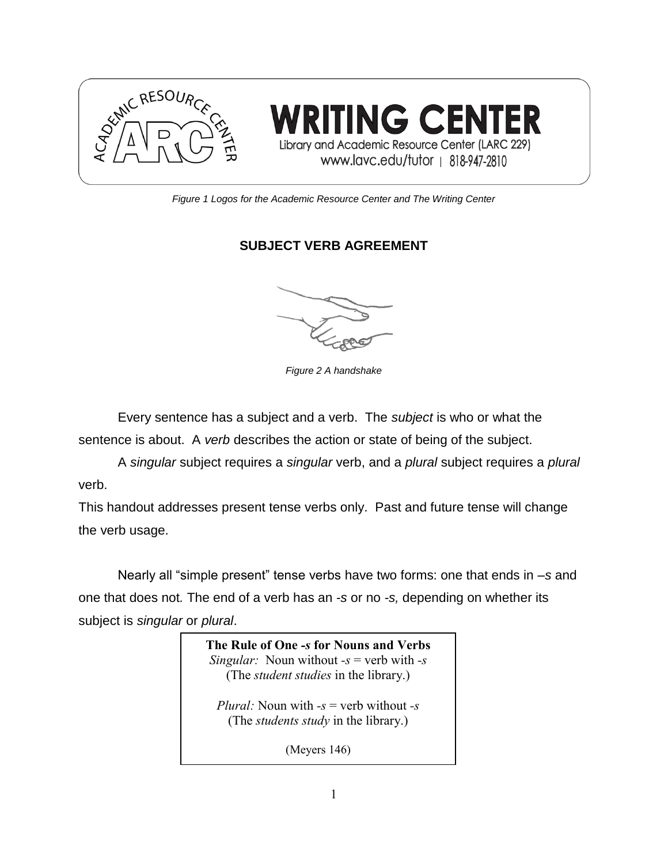

*Figure 1 Logos for the Academic Resource Center and The Writing Center*

## **SUBJECT VERB AGREEMENT**

*Figure 2 A handshake*

Every sentence has a subject and a verb. The *subject* is who or what the sentence is about. A *verb* describes the action or state of being of the subject.

A *singular* subject requires a *singular* verb, and a *plural* subject requires a *plural* verb.

This handout addresses present tense verbs only. Past and future tense will change the verb usage.

Nearly all "simple present" tense verbs have two forms: one that ends in –*s* and one that does not*.* The end of a verb has an *-s* or no *-s,* depending on whether its subject is *singular* or *plural*.

> The Rule of One *-s* for Nouns and Verbs *Singular:* Noun without *-s* = verb with *-s* (The *student studies* in the library.) *Plural:* Noun with *-s* = verb without *-s* (The *students study* in the library.) (Meyers 146)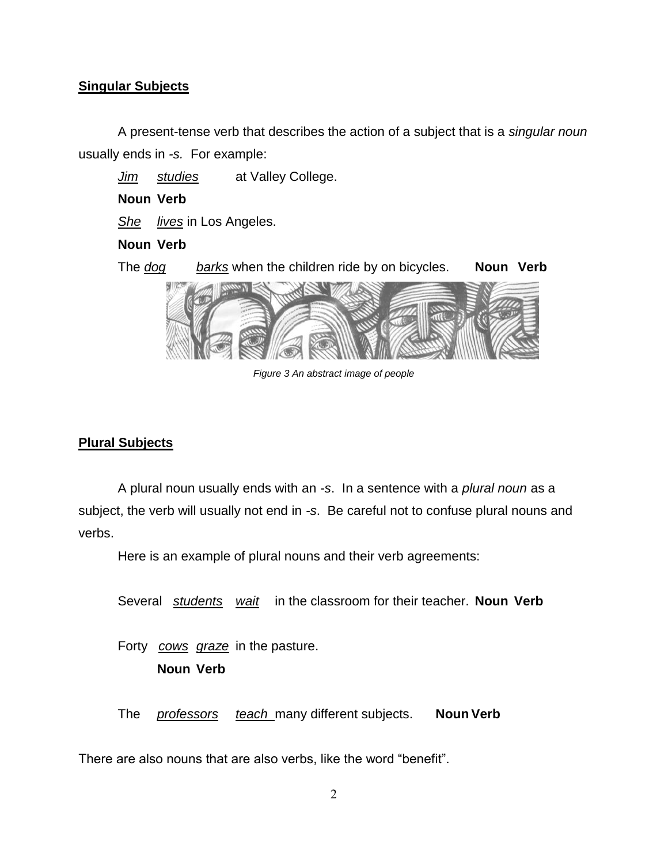#### **Singular Subjects**

A present-tense verb that describes the action of a subject that is a *singular noun* usually ends in *-s.* For example:

*Jim studies* at Valley College.

#### **Noun Verb**

*She lives* in Los Angeles.

#### **Noun Verb**

The *dog barks* when the children ride by on bicycles. **Noun Verb**



*Figure 3 An abstract image of people*

### **Plural Subjects**

A plural noun usually ends with an *-s*. In a sentence with a *plural noun* as a subject, the verb will usually not end in *-s*. Be careful not to confuse plural nouns and verbs.

Here is an example of plural nouns and their verb agreements:

Several *students wait* in the classroom for their teacher. **Noun Verb**

Forty *cows graze* in the pasture. **Noun Verb**

The *professors teach* many different subjects. **Noun Verb**

There are also nouns that are also verbs, like the word "benefit".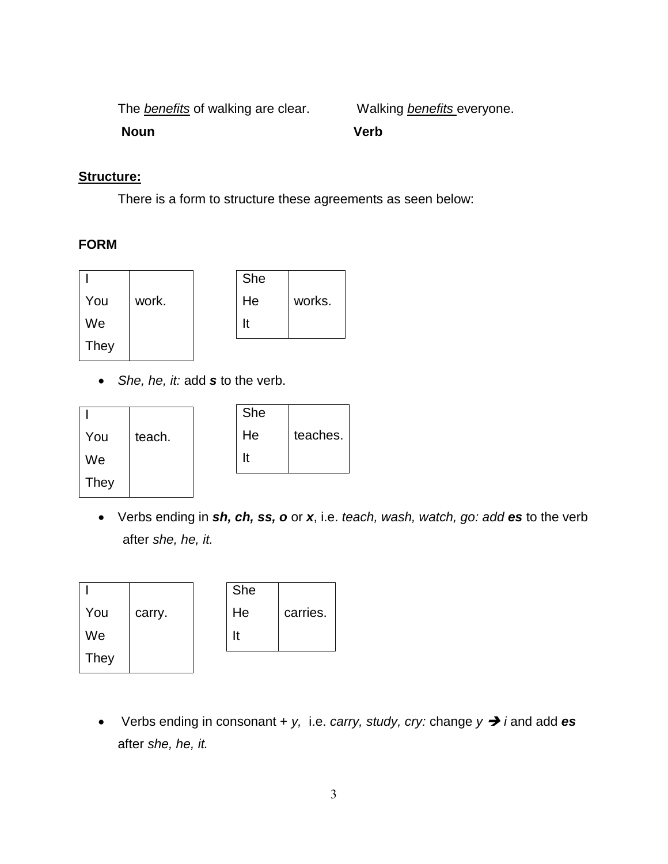The *benefits* of walking are clear. Walking *benefits* everyone.

**Noun Verb**

#### **Structure:**

There is a form to structure these agreements as seen below:

#### **FORM**

|      |       | She |        |
|------|-------|-----|--------|
| You  | work. | He  | works. |
| We   |       | It  |        |
| They |       |     |        |

• *She, he, it:* add *s* to the verb.

|             |        | She |          |
|-------------|--------|-----|----------|
| You         | teach. | He  | teaches. |
| We          |        | It  |          |
| <b>They</b> |        |     |          |

• Verbs ending in *sh, ch, ss, o* or *x*, i.e. *teach, wash, watch, go: add es* to the verb after *she, he, it.* 

|      |        | She |          |
|------|--------|-----|----------|
| You  | carry. | He  | carries. |
| We   |        | It  |          |
| They |        |     |          |

• Verbs ending in consonant +  $y$ , i.e. *carry, study, cry:* change  $y \rightarrow i$  and add **es** after *she, he, it.*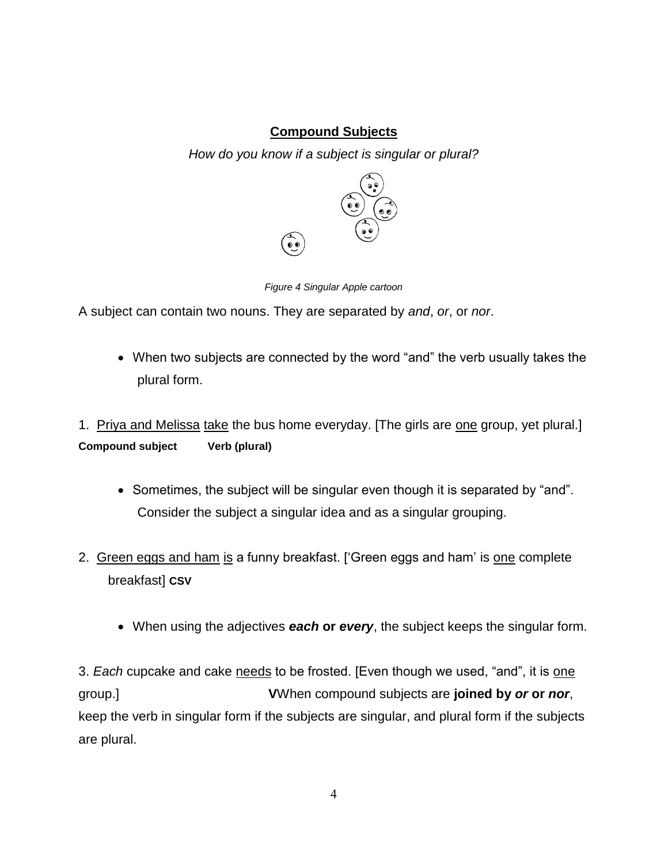### **Compound Subjects**

*How do you know if a subject is singular or plural?*





A subject can contain two nouns. They are separated by *and*, *or*, or *nor*.

• When two subjects are connected by the word "and" the verb usually takes the plural form.

1. Priya and Melissa take the bus home everyday. [The girls are one group, yet plural.] **Compound subject Verb (plural)**

- Sometimes, the subject will be singular even though it is separated by "and". Consider the subject a singular idea and as a singular grouping.
- 2. Green eggs and ham is a funny breakfast. ['Green eggs and ham' is one complete breakfast] **CSV**
	- When using the adjectives *each* **or** *every*, the subject keeps the singular form.

3. *Each* cupcake and cake needs to be frosted. [Even though we used, "and", it is one group.] **V**When compound subjects are **joined by** *or* **or** *nor*, keep the verb in singular form if the subjects are singular, and plural form if the subjects are plural.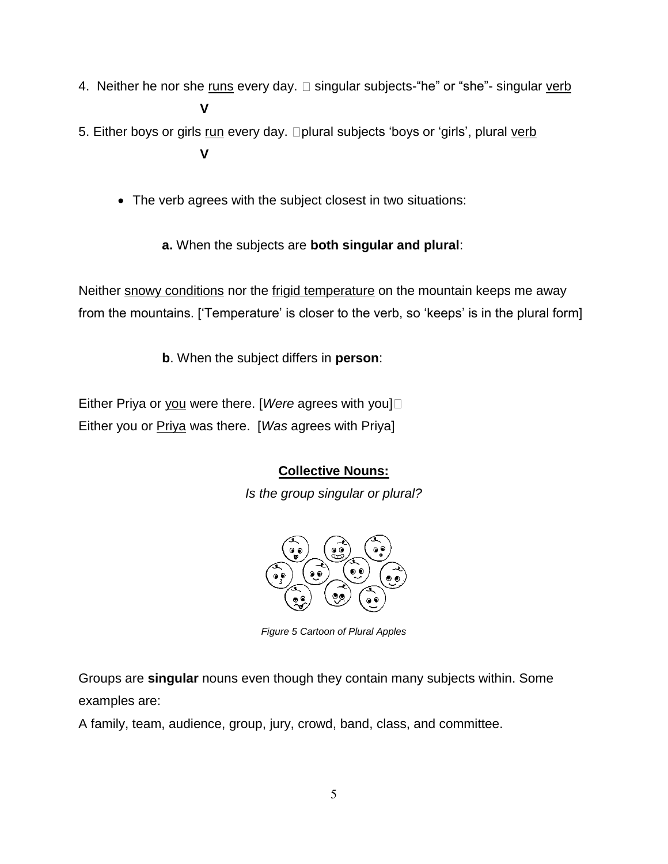- 4. Neither he nor she runs every day.  $\Box$  singular subjects-"he" or "she"- singular verb **V**
- 5. Either boys or girls run every day. **plural subjects 'boys or 'girls'**, plural verb **V**
	- The verb agrees with the subject closest in two situations:
		- **a.** When the subjects are **both singular and plural**:

Neither snowy conditions nor the frigid temperature on the mountain keeps me away from the mountains. ['Temperature' is closer to the verb, so 'keeps' is in the plural form]

**b**. When the subject differs in **person**:

Either Priya or you were there. [*Were* agrees with you] Either you or Priya was there. [*Was* agrees with Priya]

# **Collective Nouns:**

*Is the group singular or plural?*



*Figure 5 Cartoon of Plural Apples*

Groups are **singular** nouns even though they contain many subjects within. Some examples are:

A family, team, audience, group, jury, crowd, band, class, and committee.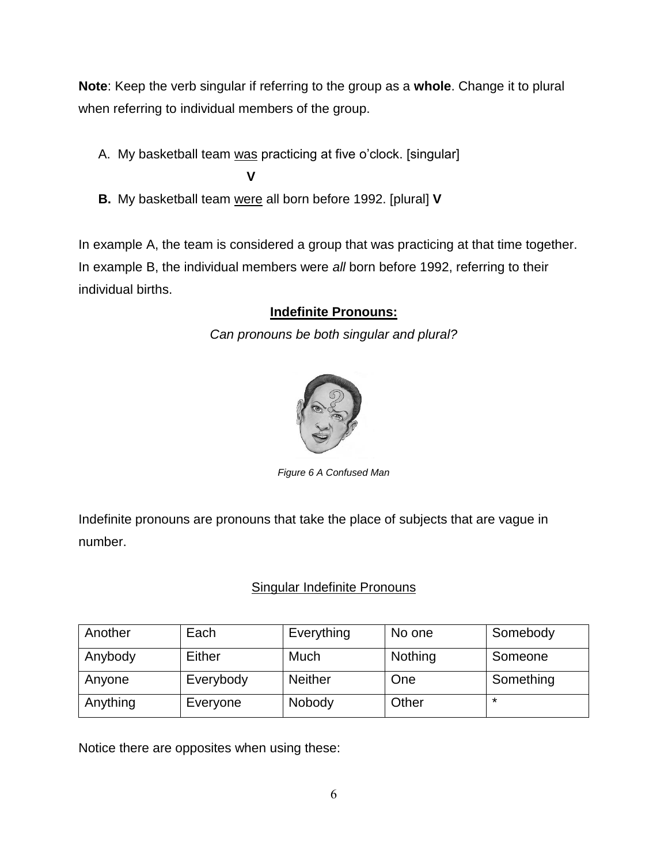**Note**: Keep the verb singular if referring to the group as a **whole**. Change it to plural when referring to individual members of the group.

A. My basketball team was practicing at five o'clock. [singular]

**V** 

**B.** My basketball team were all born before 1992. [plural] **V**

In example A, the team is considered a group that was practicing at that time together. In example B, the individual members were *all* born before 1992, referring to their individual births.

## **Indefinite Pronouns:**

*Can pronouns be both singular and plural?*



*Figure 6 A Confused Man*

Indefinite pronouns are pronouns that take the place of subjects that are vague in number.

## Singular Indefinite Pronouns

| Another  | Each      | Everything     | No one  | Somebody  |
|----------|-----------|----------------|---------|-----------|
| Anybody  | Either    | Much           | Nothing | Someone   |
| Anyone   | Everybody | <b>Neither</b> | One     | Something |
| Anything | Everyone  | Nobody         | Other   | ∗         |

Notice there are opposites when using these: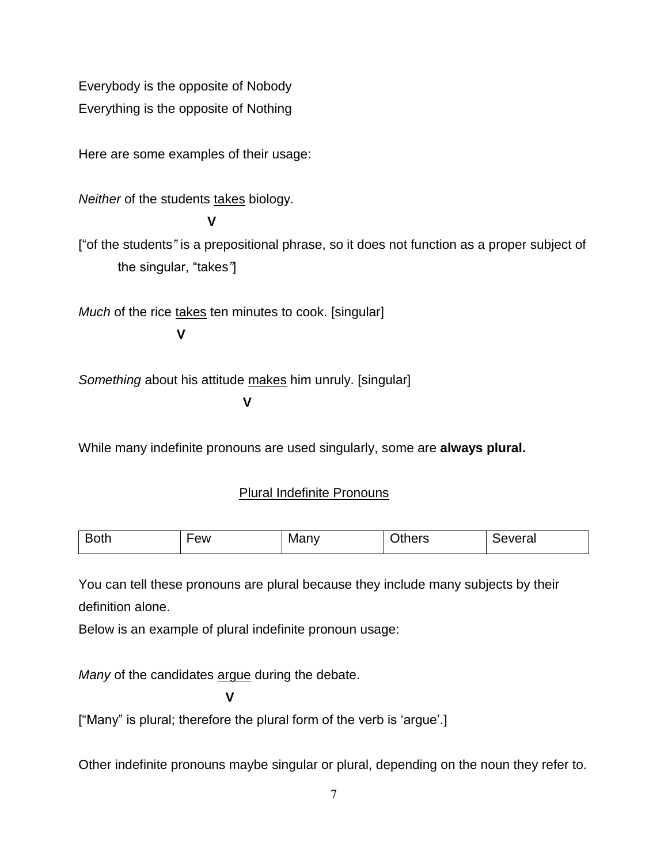Everybody is the opposite of Nobody Everything is the opposite of Nothing

Here are some examples of their usage:

*Neither* of the students takes biology.

**V**

["of the students*"* is a prepositional phrase, so it does not function as a proper subject of the singular, "takes*"*]

*Much* of the rice takes ten minutes to cook. [singular]

**V**

*Something* about his attitude makes him unruly. [singular]

**V**

While many indefinite pronouns are used singularly, some are **always plural.**

## Plural Indefinite Pronouns

| $\overline{\phantom{0}}$<br>.<br><b>Both</b><br>◡◡៶៲៲ | ew | IVІ<br>۱v | $\mathsf{u}$ in $\mathsf{P}^{\mathsf{r}}$<br>ں امت | <br>vera.<br>⊣י |
|-------------------------------------------------------|----|-----------|----------------------------------------------------|-----------------|
|-------------------------------------------------------|----|-----------|----------------------------------------------------|-----------------|

You can tell these pronouns are plural because they include many subjects by their definition alone.

Below is an example of plural indefinite pronoun usage:

*Many* of the candidates argue during the debate.

**V**

["Many" is plural; therefore the plural form of the verb is 'argue'.]

Other indefinite pronouns maybe singular or plural, depending on the noun they refer to.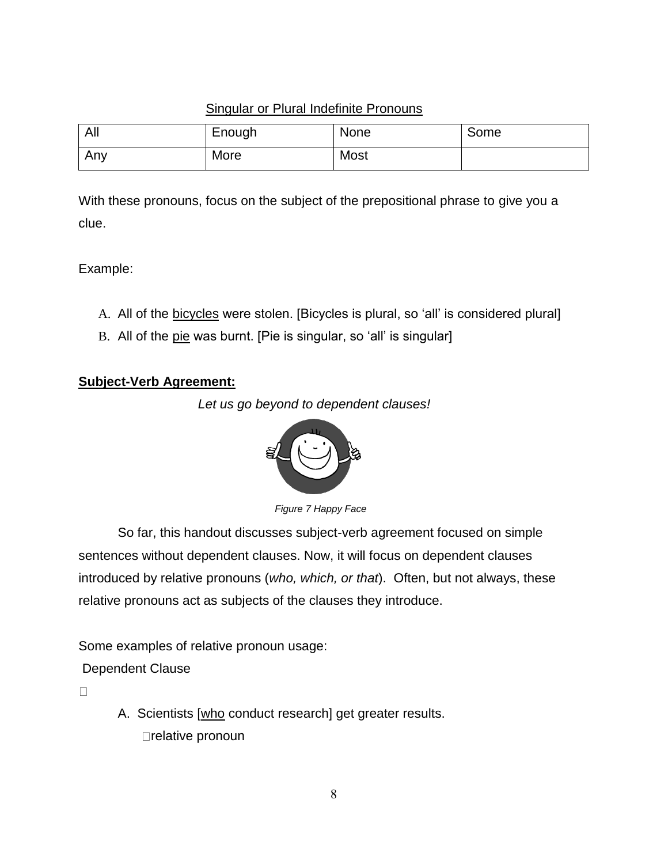### Singular or Plural Indefinite Pronouns

| All | Enough | None | Some |
|-----|--------|------|------|
| Any | More   | Most |      |

With these pronouns, focus on the subject of the prepositional phrase to give you a clue.

Example:

- A. All of the bicycles were stolen. [Bicycles is plural, so 'all' is considered plural]
- B. All of the pie was burnt. [Pie is singular, so 'all' is singular]

#### **Subject-Verb Agreement:**





*Figure 7 Happy Face*

So far, this handout discusses subject-verb agreement focused on simple sentences without dependent clauses. Now, it will focus on dependent clauses introduced by relative pronouns (*who, which, or that*). Often, but not always, these relative pronouns act as subjects of the clauses they introduce.

Some examples of relative pronoun usage:

Dependent Clause

 $\Box$ 

A. Scientists [who conduct research] get greater results. □relative pronoun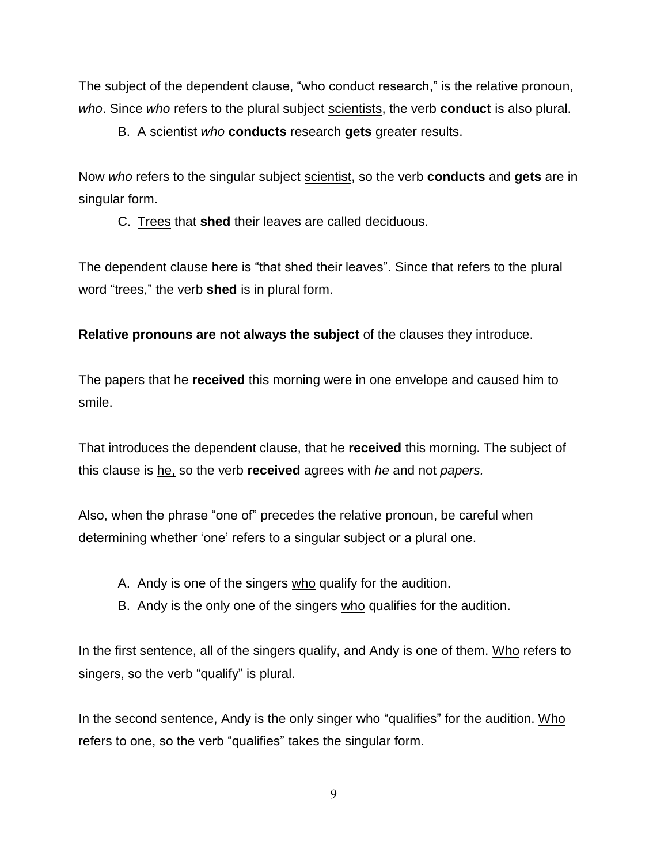The subject of the dependent clause, "who conduct research," is the relative pronoun, *who*. Since *who* refers to the plural subject scientists, the verb **conduct** is also plural.

B. A scientist *who* **conducts** research **gets** greater results.

Now *who* refers to the singular subject scientist, so the verb **conducts** and **gets** are in singular form.

C. Trees that **shed** their leaves are called deciduous.

The dependent clause here is "that shed their leaves". Since that refers to the plural word "trees," the verb **shed** is in plural form.

**Relative pronouns are not always the subject** of the clauses they introduce.

The papers that he **received** this morning were in one envelope and caused him to smile.

That introduces the dependent clause, that he **received** this morning. The subject of this clause is he, so the verb **received** agrees with *he* and not *papers.* 

Also, when the phrase "one of" precedes the relative pronoun, be careful when determining whether 'one' refers to a singular subject or a plural one.

- A. Andy is one of the singers who qualify for the audition.
- B. Andy is the only one of the singers who qualifies for the audition.

In the first sentence, all of the singers qualify, and Andy is one of them. Who refers to singers, so the verb "qualify" is plural.

In the second sentence, Andy is the only singer who "qualifies" for the audition. Who refers to one, so the verb "qualifies" takes the singular form.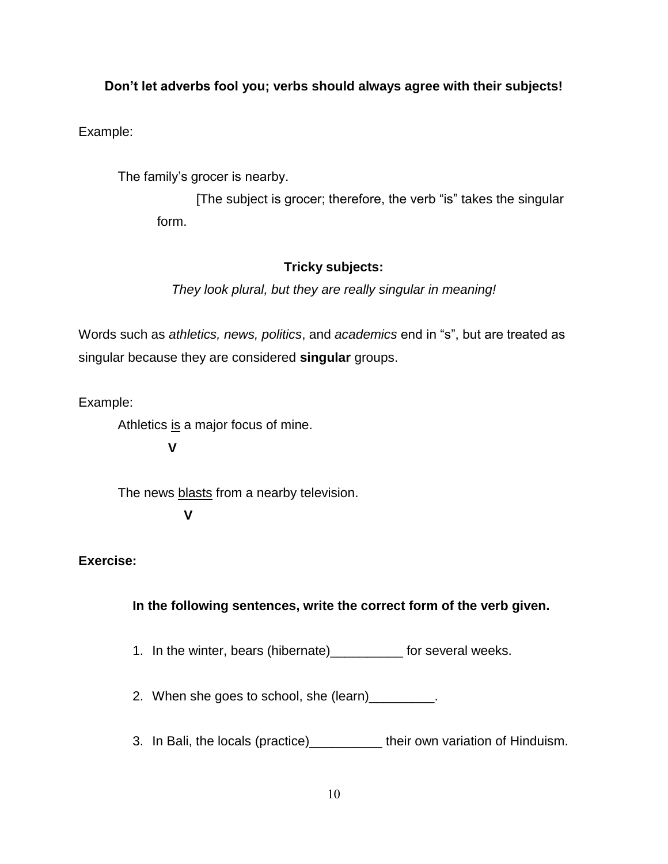#### **Don't let adverbs fool you; verbs should always agree with their subjects!**

Example:

The family's grocer is nearby.

[The subject is grocer; therefore, the verb "is" takes the singular form.

#### **Tricky subjects:**

*They look plural, but they are really singular in meaning!*

Words such as *athletics, news, politics*, and *academics* end in "s", but are treated as singular because they are considered **singular** groups.

Example:

Athletics is a major focus of mine.

**V**

The news **blasts** from a nearby television.  **V**

#### **Exercise:**

#### **In the following sentences, write the correct form of the verb given.**

1. In the winter, bears (hibernate)\_\_\_\_\_\_\_\_\_\_ for several weeks.

2. When she goes to school, she (learn) \_\_\_\_\_\_\_\_.

3. In Bali, the locals (practice)\_\_\_\_\_\_\_\_\_\_ their own variation of Hinduism.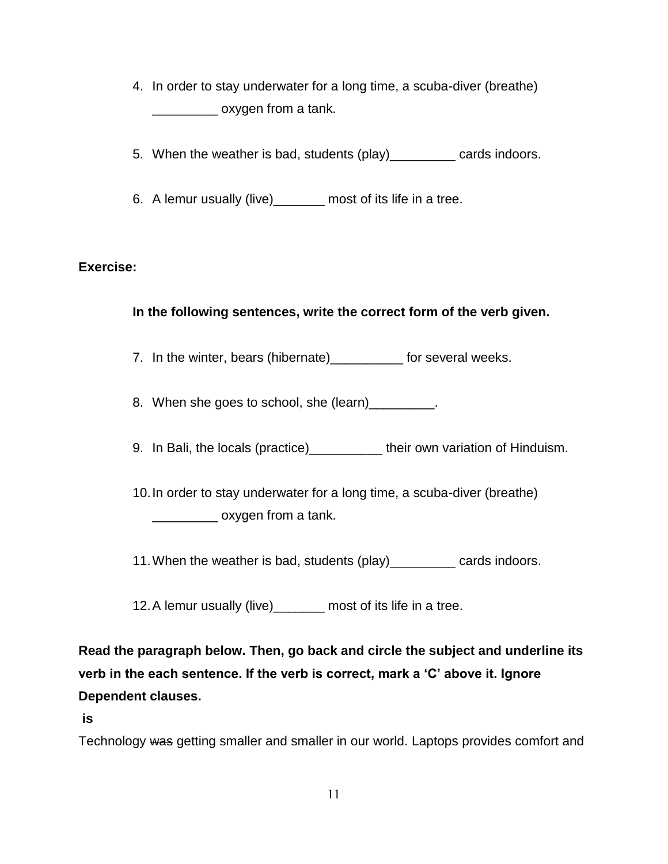- 4. In order to stay underwater for a long time, a scuba-diver (breathe) \_\_\_\_\_\_\_\_\_ oxygen from a tank.
- 5. When the weather is bad, students (play)\_\_\_\_\_\_\_\_\_ cards indoors.
- 6. A lemur usually (live)\_\_\_\_\_\_\_ most of its life in a tree.

### **Exercise:**

### **In the following sentences, write the correct form of the verb given.**

7. In the winter, bears (hibernate)\_\_\_\_\_\_\_\_\_\_ for several weeks.

8. When she goes to school, she (learn)

9. In Bali, the locals (practice)\_\_\_\_\_\_\_\_\_\_ their own variation of Hinduism.

10.In order to stay underwater for a long time, a scuba-diver (breathe) \_\_\_\_\_\_\_\_\_ oxygen from a tank.

11.When the weather is bad, students (play)\_\_\_\_\_\_\_\_\_ cards indoors.

12.A lemur usually (live)\_\_\_\_\_\_\_ most of its life in a tree.

**Read the paragraph below. Then, go back and circle the subject and underline its verb in the each sentence. If the verb is correct, mark a 'C' above it. Ignore Dependent clauses.**

**is**

Technology was getting smaller and smaller in our world. Laptops provides comfort and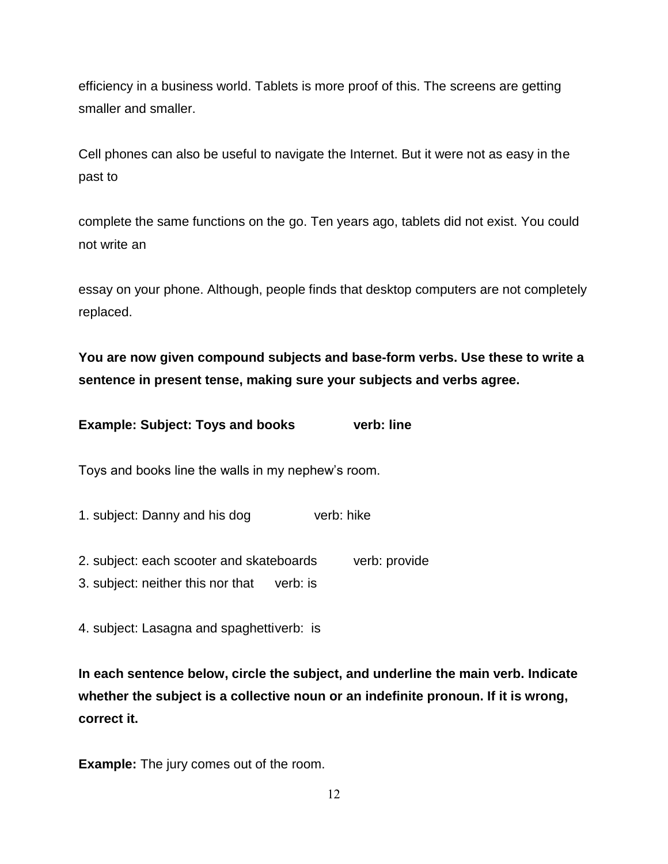efficiency in a business world. Tablets is more proof of this. The screens are getting smaller and smaller.

Cell phones can also be useful to navigate the Internet. But it were not as easy in the past to

complete the same functions on the go. Ten years ago, tablets did not exist. You could not write an

essay on your phone. Although, people finds that desktop computers are not completely replaced.

**You are now given compound subjects and base-form verbs. Use these to write a sentence in present tense, making sure your subjects and verbs agree.** 

|  | <b>Example: Subject: Toys and books</b> | verb: line |
|--|-----------------------------------------|------------|
|--|-----------------------------------------|------------|

Toys and books line the walls in my nephew's room.

1. subject: Danny and his dog verb: hike

2. subject: each scooter and skateboards verb: provide

3. subject: neither this nor that verb: is

4. subject: Lasagna and spaghettiverb: is

**In each sentence below, circle the subject, and underline the main verb. Indicate whether the subject is a collective noun or an indefinite pronoun. If it is wrong, correct it.** 

**Example:** The jury comes out of the room.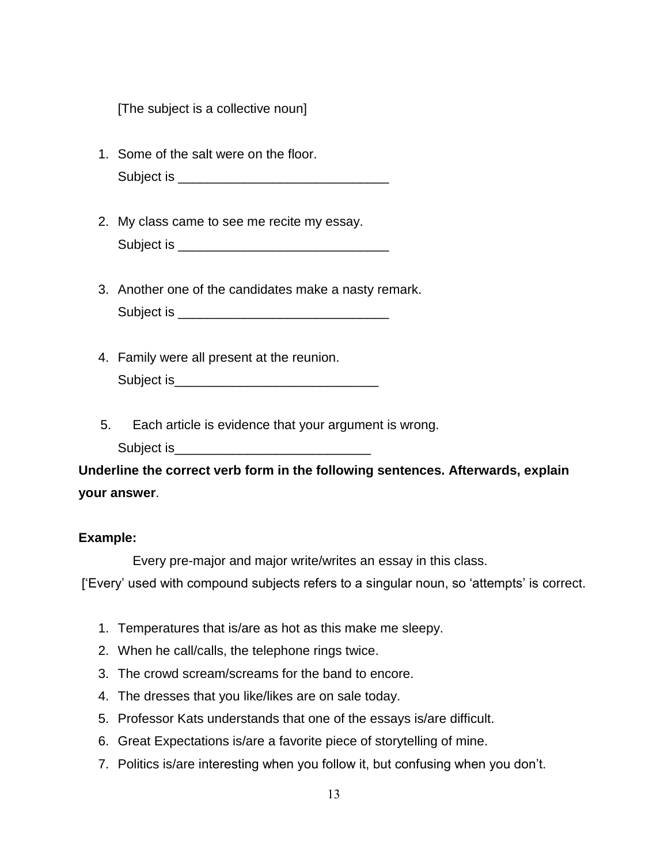[The subject is a collective noun]

- 1. Some of the salt were on the floor. Subject is \_\_\_\_\_\_\_\_\_\_\_\_\_\_\_\_\_\_\_\_\_\_\_\_\_\_\_\_\_
- 2. My class came to see me recite my essay. Subject is \_\_\_\_\_\_\_\_\_\_\_\_\_\_\_\_\_\_\_\_\_\_\_\_\_\_\_\_\_
- 3. Another one of the candidates make a nasty remark. Subject is **Example 20** and the set of  $\mathcal{L}$
- 4. Family were all present at the reunion. Subject is\_\_\_\_\_\_\_\_\_\_\_\_\_\_\_\_\_\_\_\_\_\_\_\_\_\_\_\_
- 5. Each article is evidence that your argument is wrong.
	- Subject is\_\_\_\_\_\_\_\_\_\_\_\_\_\_\_\_\_\_\_\_\_\_\_\_\_\_\_

**Underline the correct verb form in the following sentences. Afterwards, explain your answer**.

#### **Example:**

Every pre-major and major write/writes an essay in this class.

['Every' used with compound subjects refers to a singular noun, so 'attempts' is correct.

- 1. Temperatures that is/are as hot as this make me sleepy.
- 2. When he call/calls, the telephone rings twice.
- 3. The crowd scream/screams for the band to encore.
- 4. The dresses that you like/likes are on sale today.
- 5. Professor Kats understands that one of the essays is/are difficult.
- 6. Great Expectations is/are a favorite piece of storytelling of mine.
- 7. Politics is/are interesting when you follow it, but confusing when you don't.